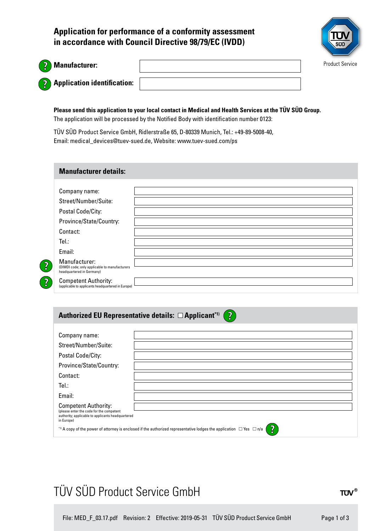**Application for performance of a conformity assessment in accordance with Council Directive 98/79/EC (IVDD)**



| Ν |
|---|
| Ø |

 $\overline{\mathbf{2}}$ 

 $\overline{\mathbf{2}}$ 

### **Manufacturer:**

**Application identification:** 

**Please send this application to your local contact in Medical and Health Services at the TÜV SÜD Group.**  The application will be processed by the Notified Body with identification number 0123:

TÜV SÜD Product Service GmbH, Ridlerstraße 65, D-80339 Munich, Tel.: +49-89-5008-40, Email: medical\_devices@tuev-sued.de, Website: www.tuev-sued.com/ps

#### **Manufacturer details:**

| Company name:                                                                               |  |
|---------------------------------------------------------------------------------------------|--|
| Street/Number/Suite:                                                                        |  |
| Postal Code/City:                                                                           |  |
| Province/State/Country:                                                                     |  |
| Contact:                                                                                    |  |
| Tel:                                                                                        |  |
| Email:                                                                                      |  |
| Manufacturer:<br>(DIMDI code; only applicable to manufacturers<br>headquartered in Germany) |  |
| <b>Competent Authority:</b><br>(applicable to applicants headquartered in Europe)           |  |

#### **Authorized EU Representative details: □ Applicant\*1)**  $\left| \mathbf{2} \right\rangle$

| Company name:                                                                                                                                   |  |  |  |
|-------------------------------------------------------------------------------------------------------------------------------------------------|--|--|--|
| Street/Number/Suite:                                                                                                                            |  |  |  |
| Postal Code/City:                                                                                                                               |  |  |  |
| Province/State/Country:                                                                                                                         |  |  |  |
| Contact:                                                                                                                                        |  |  |  |
| Tel.:                                                                                                                                           |  |  |  |
| Email:                                                                                                                                          |  |  |  |
| <b>Competent Authority:</b><br>(please enter the code for the competent<br>authority; applicable to applicants headquartered<br>in Europe)      |  |  |  |
| $\overline{?}$<br>*1) A copy of the power of attorney is enclosed if the authorized representative lodges the application $\Box$ Yes $\Box$ n/a |  |  |  |

## TÜV SÜD Product Service GmbH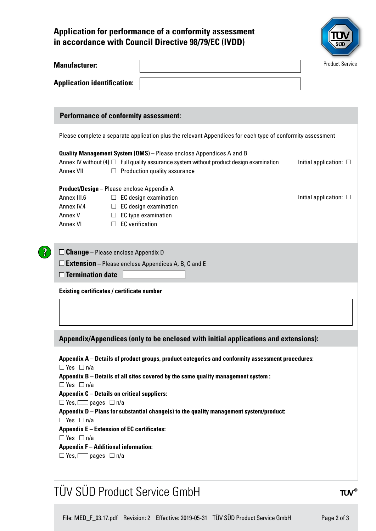### **Application for performance of a conformity assessment in accordance with Council Directive 98/79/EC (IVDD)**



| <b>Manufacturer:</b><br><b>Application identification:</b><br><b>Performance of conformity assessment:</b><br>Quality Management System (QMS) - Please enclose Appendices A and B<br>Annex IV without (4) $\Box$ Full quality assurance system without product design examination<br>$\Box$ Production quality assurance<br>Product/Design - Please enclose Appendix A<br>$\Box$ EC design examination<br>$\Box$ EC design examination<br>$\Box$ EC type examination<br>$\Box$ EC verification<br>$\square$ Change - Please enclose Appendix D<br>$\square$ <b>Extension</b> – Please enclose Appendices A, B, C and E<br><b>Existing certificates / certificate number</b><br>Appendix/Appendices (only to be enclosed with initial applications and extensions):<br>Appendix A – Details of product groups, product categories and conformity assessment procedures:<br>Appendix B - Details of all sites covered by the same quality management system :<br><b>Appendix C - Details on critical suppliers:</b><br>$\Box$ Yes, $\Box$ pages $\Box$ n/a<br>Appendix D - Plans for substantial change(s) to the quality management system/product:<br><b>Appendix E - Extension of EC certificates:</b><br><b>Appendix F - Additional information:</b><br>$\Box$ Yes, $\Box$ pages $\Box$ n/a |                                                                                                            |  |  |  | <b>Product Service</b>         |  |  |
|-----------------------------------------------------------------------------------------------------------------------------------------------------------------------------------------------------------------------------------------------------------------------------------------------------------------------------------------------------------------------------------------------------------------------------------------------------------------------------------------------------------------------------------------------------------------------------------------------------------------------------------------------------------------------------------------------------------------------------------------------------------------------------------------------------------------------------------------------------------------------------------------------------------------------------------------------------------------------------------------------------------------------------------------------------------------------------------------------------------------------------------------------------------------------------------------------------------------------------------------------------------------------------------------------|------------------------------------------------------------------------------------------------------------|--|--|--|--------------------------------|--|--|
|                                                                                                                                                                                                                                                                                                                                                                                                                                                                                                                                                                                                                                                                                                                                                                                                                                                                                                                                                                                                                                                                                                                                                                                                                                                                                               |                                                                                                            |  |  |  |                                |  |  |
|                                                                                                                                                                                                                                                                                                                                                                                                                                                                                                                                                                                                                                                                                                                                                                                                                                                                                                                                                                                                                                                                                                                                                                                                                                                                                               |                                                                                                            |  |  |  |                                |  |  |
|                                                                                                                                                                                                                                                                                                                                                                                                                                                                                                                                                                                                                                                                                                                                                                                                                                                                                                                                                                                                                                                                                                                                                                                                                                                                                               |                                                                                                            |  |  |  |                                |  |  |
|                                                                                                                                                                                                                                                                                                                                                                                                                                                                                                                                                                                                                                                                                                                                                                                                                                                                                                                                                                                                                                                                                                                                                                                                                                                                                               |                                                                                                            |  |  |  |                                |  |  |
|                                                                                                                                                                                                                                                                                                                                                                                                                                                                                                                                                                                                                                                                                                                                                                                                                                                                                                                                                                                                                                                                                                                                                                                                                                                                                               | Please complete a separate application plus the relevant Appendices for each type of conformity assessment |  |  |  |                                |  |  |
|                                                                                                                                                                                                                                                                                                                                                                                                                                                                                                                                                                                                                                                                                                                                                                                                                                                                                                                                                                                                                                                                                                                                                                                                                                                                                               |                                                                                                            |  |  |  |                                |  |  |
|                                                                                                                                                                                                                                                                                                                                                                                                                                                                                                                                                                                                                                                                                                                                                                                                                                                                                                                                                                                                                                                                                                                                                                                                                                                                                               |                                                                                                            |  |  |  | Initial application: $\square$ |  |  |
|                                                                                                                                                                                                                                                                                                                                                                                                                                                                                                                                                                                                                                                                                                                                                                                                                                                                                                                                                                                                                                                                                                                                                                                                                                                                                               | Annex VII                                                                                                  |  |  |  |                                |  |  |
|                                                                                                                                                                                                                                                                                                                                                                                                                                                                                                                                                                                                                                                                                                                                                                                                                                                                                                                                                                                                                                                                                                                                                                                                                                                                                               |                                                                                                            |  |  |  |                                |  |  |
|                                                                                                                                                                                                                                                                                                                                                                                                                                                                                                                                                                                                                                                                                                                                                                                                                                                                                                                                                                                                                                                                                                                                                                                                                                                                                               | Annex III.6                                                                                                |  |  |  | Initial application: $\square$ |  |  |
|                                                                                                                                                                                                                                                                                                                                                                                                                                                                                                                                                                                                                                                                                                                                                                                                                                                                                                                                                                                                                                                                                                                                                                                                                                                                                               | Annex IV.4                                                                                                 |  |  |  |                                |  |  |
|                                                                                                                                                                                                                                                                                                                                                                                                                                                                                                                                                                                                                                                                                                                                                                                                                                                                                                                                                                                                                                                                                                                                                                                                                                                                                               | Annex V                                                                                                    |  |  |  |                                |  |  |
|                                                                                                                                                                                                                                                                                                                                                                                                                                                                                                                                                                                                                                                                                                                                                                                                                                                                                                                                                                                                                                                                                                                                                                                                                                                                                               | <b>Annex VI</b>                                                                                            |  |  |  |                                |  |  |
|                                                                                                                                                                                                                                                                                                                                                                                                                                                                                                                                                                                                                                                                                                                                                                                                                                                                                                                                                                                                                                                                                                                                                                                                                                                                                               | $\Box$ Termination date                                                                                    |  |  |  |                                |  |  |
|                                                                                                                                                                                                                                                                                                                                                                                                                                                                                                                                                                                                                                                                                                                                                                                                                                                                                                                                                                                                                                                                                                                                                                                                                                                                                               |                                                                                                            |  |  |  |                                |  |  |
|                                                                                                                                                                                                                                                                                                                                                                                                                                                                                                                                                                                                                                                                                                                                                                                                                                                                                                                                                                                                                                                                                                                                                                                                                                                                                               |                                                                                                            |  |  |  |                                |  |  |
|                                                                                                                                                                                                                                                                                                                                                                                                                                                                                                                                                                                                                                                                                                                                                                                                                                                                                                                                                                                                                                                                                                                                                                                                                                                                                               |                                                                                                            |  |  |  |                                |  |  |
|                                                                                                                                                                                                                                                                                                                                                                                                                                                                                                                                                                                                                                                                                                                                                                                                                                                                                                                                                                                                                                                                                                                                                                                                                                                                                               |                                                                                                            |  |  |  |                                |  |  |
|                                                                                                                                                                                                                                                                                                                                                                                                                                                                                                                                                                                                                                                                                                                                                                                                                                                                                                                                                                                                                                                                                                                                                                                                                                                                                               |                                                                                                            |  |  |  |                                |  |  |
|                                                                                                                                                                                                                                                                                                                                                                                                                                                                                                                                                                                                                                                                                                                                                                                                                                                                                                                                                                                                                                                                                                                                                                                                                                                                                               |                                                                                                            |  |  |  |                                |  |  |
|                                                                                                                                                                                                                                                                                                                                                                                                                                                                                                                                                                                                                                                                                                                                                                                                                                                                                                                                                                                                                                                                                                                                                                                                                                                                                               |                                                                                                            |  |  |  |                                |  |  |
|                                                                                                                                                                                                                                                                                                                                                                                                                                                                                                                                                                                                                                                                                                                                                                                                                                                                                                                                                                                                                                                                                                                                                                                                                                                                                               | $\Box$ Yes $\Box$ n/a                                                                                      |  |  |  |                                |  |  |
|                                                                                                                                                                                                                                                                                                                                                                                                                                                                                                                                                                                                                                                                                                                                                                                                                                                                                                                                                                                                                                                                                                                                                                                                                                                                                               | $\Box$ Yes $\Box$ n/a                                                                                      |  |  |  |                                |  |  |
|                                                                                                                                                                                                                                                                                                                                                                                                                                                                                                                                                                                                                                                                                                                                                                                                                                                                                                                                                                                                                                                                                                                                                                                                                                                                                               |                                                                                                            |  |  |  |                                |  |  |
|                                                                                                                                                                                                                                                                                                                                                                                                                                                                                                                                                                                                                                                                                                                                                                                                                                                                                                                                                                                                                                                                                                                                                                                                                                                                                               |                                                                                                            |  |  |  |                                |  |  |
|                                                                                                                                                                                                                                                                                                                                                                                                                                                                                                                                                                                                                                                                                                                                                                                                                                                                                                                                                                                                                                                                                                                                                                                                                                                                                               |                                                                                                            |  |  |  |                                |  |  |
|                                                                                                                                                                                                                                                                                                                                                                                                                                                                                                                                                                                                                                                                                                                                                                                                                                                                                                                                                                                                                                                                                                                                                                                                                                                                                               | $\Box$ Yes $\Box$ n/a                                                                                      |  |  |  |                                |  |  |
|                                                                                                                                                                                                                                                                                                                                                                                                                                                                                                                                                                                                                                                                                                                                                                                                                                                                                                                                                                                                                                                                                                                                                                                                                                                                                               |                                                                                                            |  |  |  |                                |  |  |
|                                                                                                                                                                                                                                                                                                                                                                                                                                                                                                                                                                                                                                                                                                                                                                                                                                                                                                                                                                                                                                                                                                                                                                                                                                                                                               | $\Box$ Yes $\Box$ n/a                                                                                      |  |  |  |                                |  |  |

# TÜV SÜD Product Service GmbH

 $TUV^{\circ}$